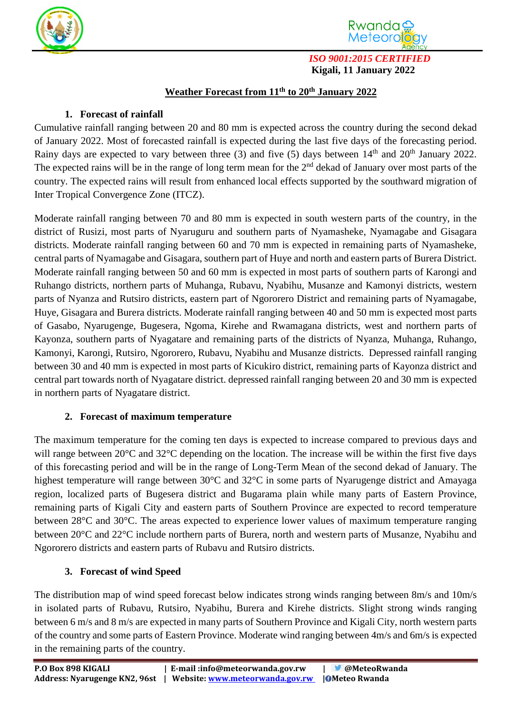



*ISO 9001:2015 CERTIFIED*  **Kigali, 11 January 2022**

## **Weather Forecast from 11 th to 20 th January 2022**

## **1. Forecast of rainfall**

Cumulative rainfall ranging between 20 and 80 mm is expected across the country during the second dekad of January 2022. Most of forecasted rainfall is expected during the last five days of the forecasting period. Rainy days are expected to vary between three (3) and five (5) days between  $14<sup>th</sup>$  and  $20<sup>th</sup>$  January 2022. The expected rains will be in the range of long term mean for the  $2<sup>nd</sup>$  dekad of January over most parts of the country. The expected rains will result from enhanced local effects supported by the southward migration of Inter Tropical Convergence Zone (ITCZ).

Moderate rainfall ranging between 70 and 80 mm is expected in south western parts of the country, in the district of Rusizi, most parts of Nyaruguru and southern parts of Nyamasheke, Nyamagabe and Gisagara districts. Moderate rainfall ranging between 60 and 70 mm is expected in remaining parts of Nyamasheke, central parts of Nyamagabe and Gisagara, southern part of Huye and north and eastern parts of Burera District. Moderate rainfall ranging between 50 and 60 mm is expected in most parts of southern parts of Karongi and Ruhango districts, northern parts of Muhanga, Rubavu, Nyabihu, Musanze and Kamonyi districts, western parts of Nyanza and Rutsiro districts, eastern part of Ngororero District and remaining parts of Nyamagabe, Huye, Gisagara and Burera districts. Moderate rainfall ranging between 40 and 50 mm is expected most parts of Gasabo, Nyarugenge, Bugesera, Ngoma, Kirehe and Rwamagana districts, west and northern parts of Kayonza, southern parts of Nyagatare and remaining parts of the districts of Nyanza, Muhanga, Ruhango, Kamonyi, Karongi, Rutsiro, Ngororero, Rubavu, Nyabihu and Musanze districts. Depressed rainfall ranging between 30 and 40 mm is expected in most parts of Kicukiro district, remaining parts of Kayonza district and central part towards north of Nyagatare district. depressed rainfall ranging between 20 and 30 mm is expected in northern parts of Nyagatare district.

## **2. Forecast of maximum temperature**

The maximum temperature for the coming ten days is expected to increase compared to previous days and will range between 20<sup>o</sup>C and 32<sup>o</sup>C depending on the location. The increase will be within the first five days of this forecasting period and will be in the range of Long-Term Mean of the second dekad of January. The highest temperature will range between 30°C and 32°C in some parts of Nyarugenge district and Amayaga region, localized parts of Bugesera district and Bugarama plain while many parts of Eastern Province, remaining parts of Kigali City and eastern parts of Southern Province are expected to record temperature between 28°C and 30°C. The areas expected to experience lower values of maximum temperature ranging between 20°C and 22°C include northern parts of Burera, north and western parts of Musanze, Nyabihu and Ngororero districts and eastern parts of Rubavu and Rutsiro districts.

## **3. Forecast of wind Speed**

The distribution map of wind speed forecast below indicates strong winds ranging between 8m/s and 10m/s in isolated parts of Rubavu, Rutsiro, Nyabihu, Burera and Kirehe districts. Slight strong winds ranging between 6 m/s and 8 m/s are expected in many parts of Southern Province and Kigali City, north western parts of the country and some parts of Eastern Province. Moderate wind ranging between 4m/s and 6m/s is expected in the remaining parts of the country.